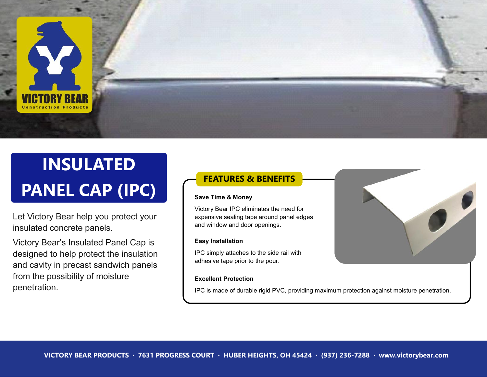

# **INSULATED PANEL CAP (IPC)**

Let Victory Bear help you protect your insulated concrete panels.

Victory Bear's Insulated Panel Cap is designed to help protect the insulation and cavity in precast sandwich panels from the possibility of moisture penetration.

## **FEATURES & BENEFITS**

#### **Save Time & Money**

Victory Bear IPC eliminates the need for expensive sealing tape around panel edges and window and door openings.

#### **Easy Installation**

IPC simply attaches to the side rail with adhesive tape prior to the pour.

#### **Excellent Protection**

IPC is made of durable rigid PVC, providing maximum protection against moisture penetration.